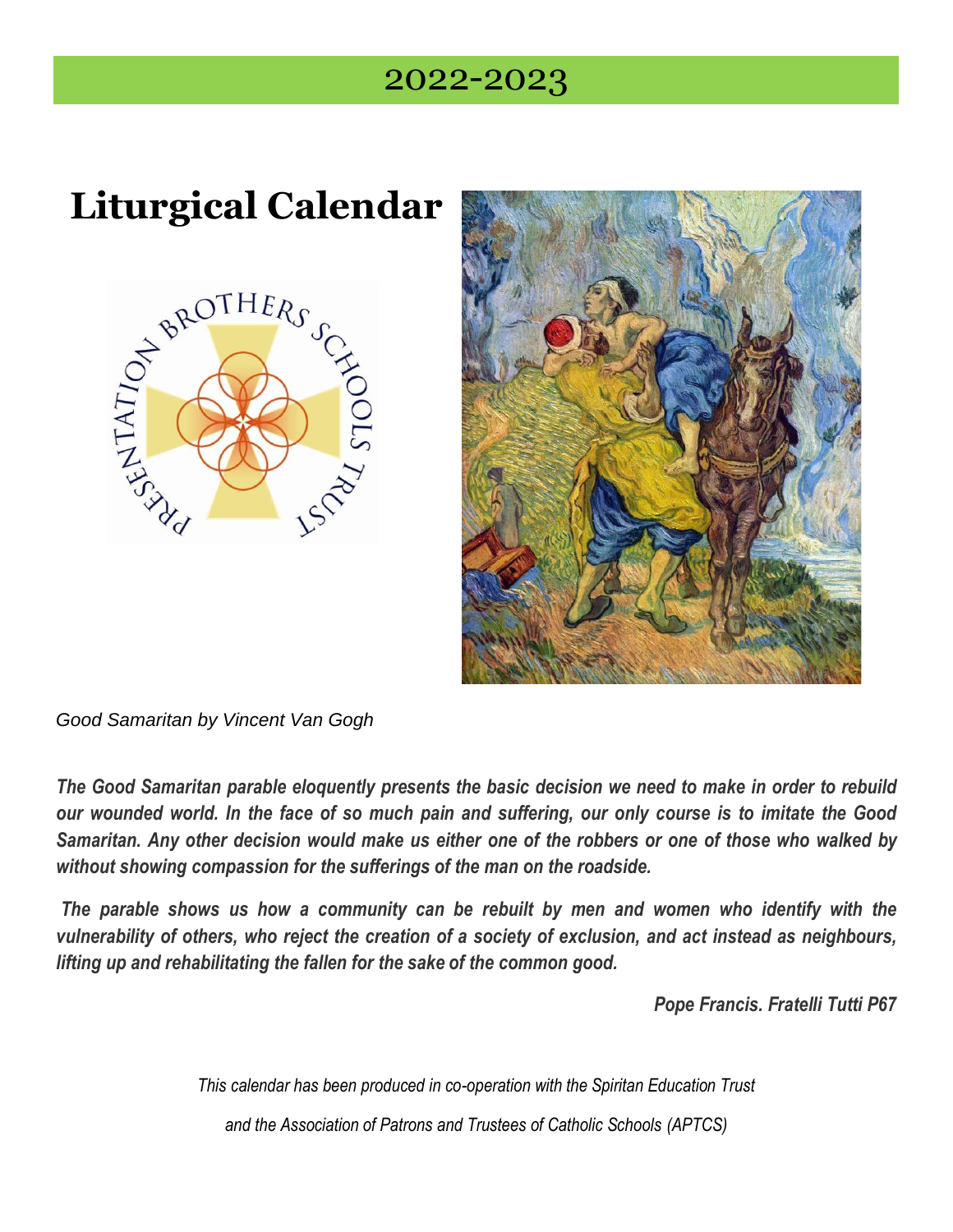## 2022-2023

## **Liturgical Calendar**





*Good Samaritan by Vincent Van Gogh* 

*The Good Samaritan parable eloquently presents the basic decision we need to make in order to rebuild* our wounded world. In the face of so much pain and suffering, our only course is to imitate the Good Samaritan. Any other decision would make us either one of the robbers or one of those who walked by *without showing compassion for the sufferings of the man on the roadside.*

*The parable shows us how a community can be rebuilt by men and women who identify with the* vulnerability of others, who reject the creation of a society of exclusion, and act instead as neighbours, *lifting up and rehabilitating the fallen for the sake of the common good.*

*Pope Francis. Fratelli Tutti P67*

*This calendar has been produced in co-operation with the Spiritan Education Trust* 

*and the Association of Patrons and Trustees of Catholic Schools (APTCS)*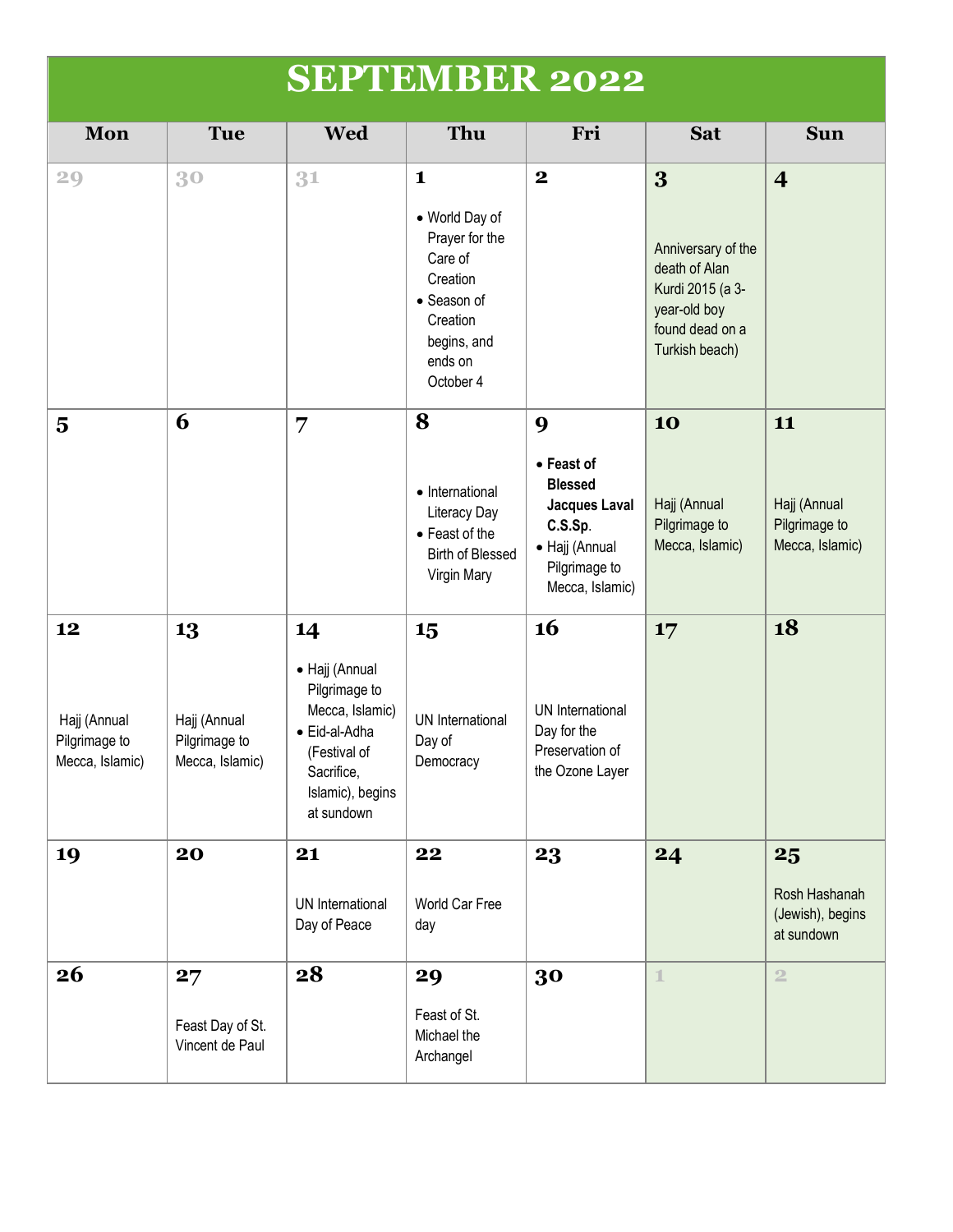|                                                        |                                                        | <b>SEPTEMBER 2022</b>                                                                                                                     |                                                                                                                                           |                                                                                                                     |                                                                                                                   |                                                        |
|--------------------------------------------------------|--------------------------------------------------------|-------------------------------------------------------------------------------------------------------------------------------------------|-------------------------------------------------------------------------------------------------------------------------------------------|---------------------------------------------------------------------------------------------------------------------|-------------------------------------------------------------------------------------------------------------------|--------------------------------------------------------|
| Mon                                                    | <b>Tue</b>                                             | Wed                                                                                                                                       | <b>Thu</b>                                                                                                                                | Fri                                                                                                                 | <b>Sat</b>                                                                                                        | <b>Sun</b>                                             |
| 29                                                     | 30                                                     | 31                                                                                                                                        | $\mathbf{1}$<br>• World Day of<br>Prayer for the<br>Care of<br>Creation<br>• Season of<br>Creation<br>begins, and<br>ends on<br>October 4 | $\mathbf 2$                                                                                                         | 3<br>Anniversary of the<br>death of Alan<br>Kurdi 2015 (a 3-<br>year-old boy<br>found dead on a<br>Turkish beach) | $\overline{\mathbf{4}}$                                |
| $\overline{\mathbf{5}}$                                | 6                                                      | 7                                                                                                                                         | 8<br>• International<br>Literacy Day<br>• Feast of the<br><b>Birth of Blessed</b><br>Virgin Mary                                          | 9<br>• Feast of<br><b>Blessed</b><br>Jacques Laval<br>C.S.Sp.<br>• Hajj (Annual<br>Pilgrimage to<br>Mecca, Islamic) | 10<br>Hajj (Annual<br>Pilgrimage to<br>Mecca, Islamic)                                                            | 11<br>Hajj (Annual<br>Pilgrimage to<br>Mecca, Islamic) |
| 12<br>Hajj (Annual<br>Pilgrimage to<br>Mecca, Islamic) | 13<br>Hajj (Annual<br>Pilgrimage to<br>Mecca, Islamic) | 14<br>• Hajj (Annual<br>Pilgrimage to<br>Mecca, Islamic)<br>• Eid-al-Adha<br>(Festival of<br>Sacrifice,<br>Islamic), begins<br>at sundown | 15<br>UN International<br>Day of<br>Democracy                                                                                             | 16<br>UN International<br>Day for the<br>Preservation of<br>the Ozone Layer                                         | 17                                                                                                                | 18                                                     |
| 19                                                     | 20                                                     | 21<br>UN International<br>Day of Peace                                                                                                    | 22<br>World Car Free<br>day                                                                                                               | 23                                                                                                                  | 24                                                                                                                | 25<br>Rosh Hashanah<br>(Jewish), begins<br>at sundown  |
| 26                                                     | 27<br>Feast Day of St.<br>Vincent de Paul              | 28                                                                                                                                        | 29<br>Feast of St.<br>Michael the<br>Archangel                                                                                            | 30                                                                                                                  | $\mathbf{1}$                                                                                                      | $\overline{2}$                                         |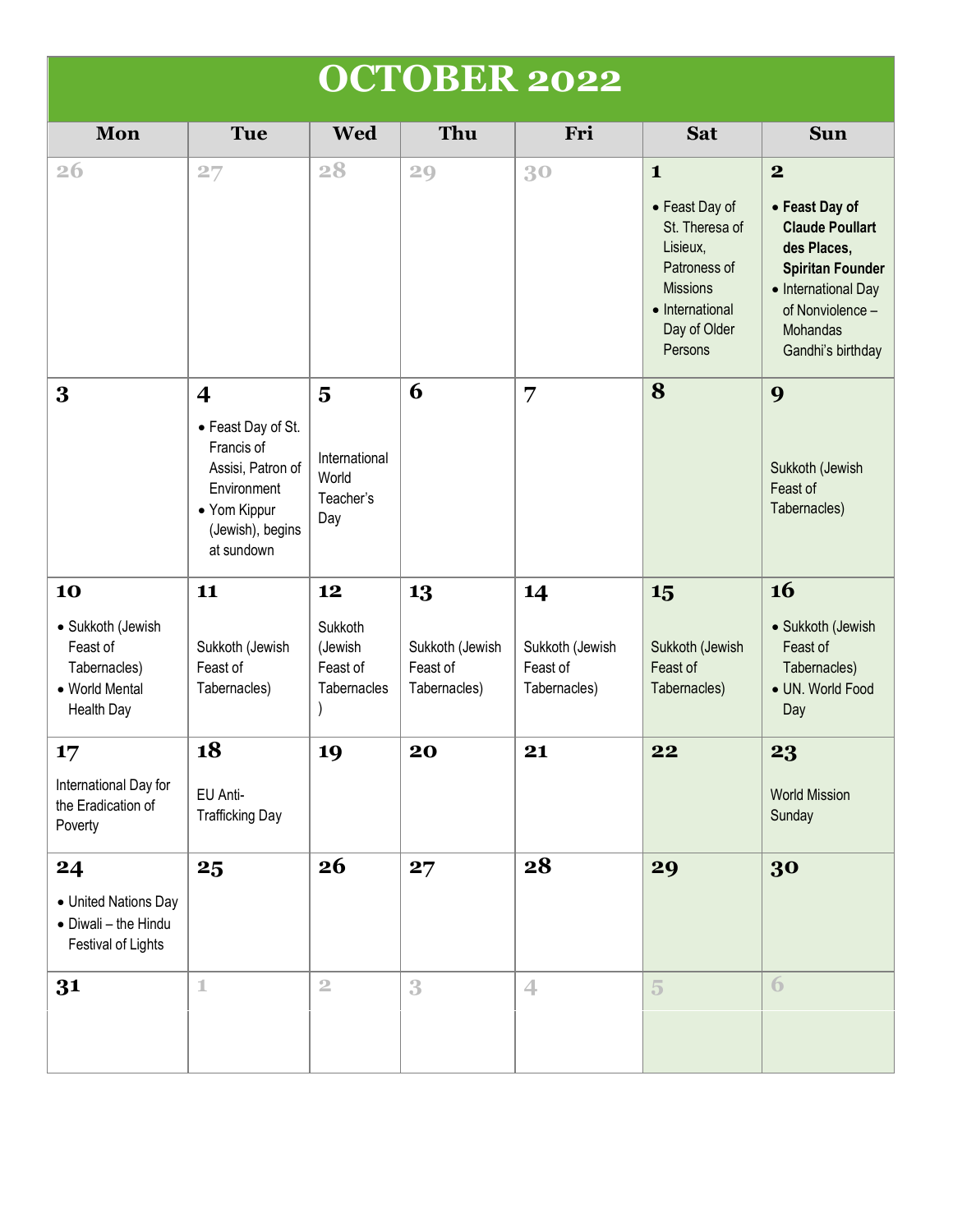|                                                                                            |                                                                                                                                                   |                                                     | <b>OCTOBER 2022</b>                               |                                                   |                                                                                                                                               |                                                                                                                                                                                    |
|--------------------------------------------------------------------------------------------|---------------------------------------------------------------------------------------------------------------------------------------------------|-----------------------------------------------------|---------------------------------------------------|---------------------------------------------------|-----------------------------------------------------------------------------------------------------------------------------------------------|------------------------------------------------------------------------------------------------------------------------------------------------------------------------------------|
| Mon                                                                                        | <b>Tue</b>                                                                                                                                        | <b>Wed</b>                                          | Thu                                               | Fri                                               | <b>Sat</b>                                                                                                                                    | <b>Sun</b>                                                                                                                                                                         |
| <b>26</b>                                                                                  | 27                                                                                                                                                | 28                                                  | 29                                                | 30                                                | $\mathbf{1}$<br>• Feast Day of<br>St. Theresa of<br>Lisieux,<br>Patroness of<br><b>Missions</b><br>• International<br>Day of Older<br>Persons | $\boldsymbol{2}$<br>• Feast Day of<br><b>Claude Poullart</b><br>des Places,<br><b>Spiritan Founder</b><br>• International Day<br>of Nonviolence -<br>Mohandas<br>Gandhi's birthday |
| 3                                                                                          | $\overline{\mathbf{4}}$<br>• Feast Day of St.<br>Francis of<br>Assisi, Patron of<br>Environment<br>• Yom Kippur<br>(Jewish), begins<br>at sundown | 5<br>International<br>World<br>Teacher's<br>Day     | 6                                                 | 7                                                 | 8                                                                                                                                             | 9<br>Sukkoth (Jewish<br>Feast of<br>Tabernacles)                                                                                                                                   |
| 10<br>• Sukkoth (Jewish<br>Feast of<br>Tabernacles)<br>• World Mental<br><b>Health Day</b> | 11<br>Sukkoth (Jewish<br>Feast of<br>Tabernacles)                                                                                                 | 12<br>Sukkoth<br>(Jewish<br>Feast of<br>Tabernacles | 13<br>Sukkoth (Jewish<br>Feast of<br>Tabernacles) | 14<br>Sukkoth (Jewish<br>Feast of<br>Tabernacles) | 15<br>Sukkoth (Jewish<br>Feast of<br>Tabernacles)                                                                                             | 16<br>• Sukkoth (Jewish<br>Feast of<br>Tabernacles)<br>· UN. World Food<br>Day                                                                                                     |
| $17 \,$<br>International Day for<br>the Eradication of<br>Poverty                          | 18<br>EU Anti-<br><b>Trafficking Day</b>                                                                                                          | 19                                                  | 20                                                | 21                                                | 22                                                                                                                                            | 23<br><b>World Mission</b><br>Sunday                                                                                                                                               |
| 24<br>• United Nations Day<br>• Diwali - the Hindu<br>Festival of Lights                   | 25                                                                                                                                                | 26                                                  | 27                                                | 28                                                | 29                                                                                                                                            | 30                                                                                                                                                                                 |
| 31                                                                                         | $\mathbbm{1}$                                                                                                                                     | $\overline{2}$                                      | 3                                                 | 4                                                 | $\overline{5}$                                                                                                                                | $\overline{6}$                                                                                                                                                                     |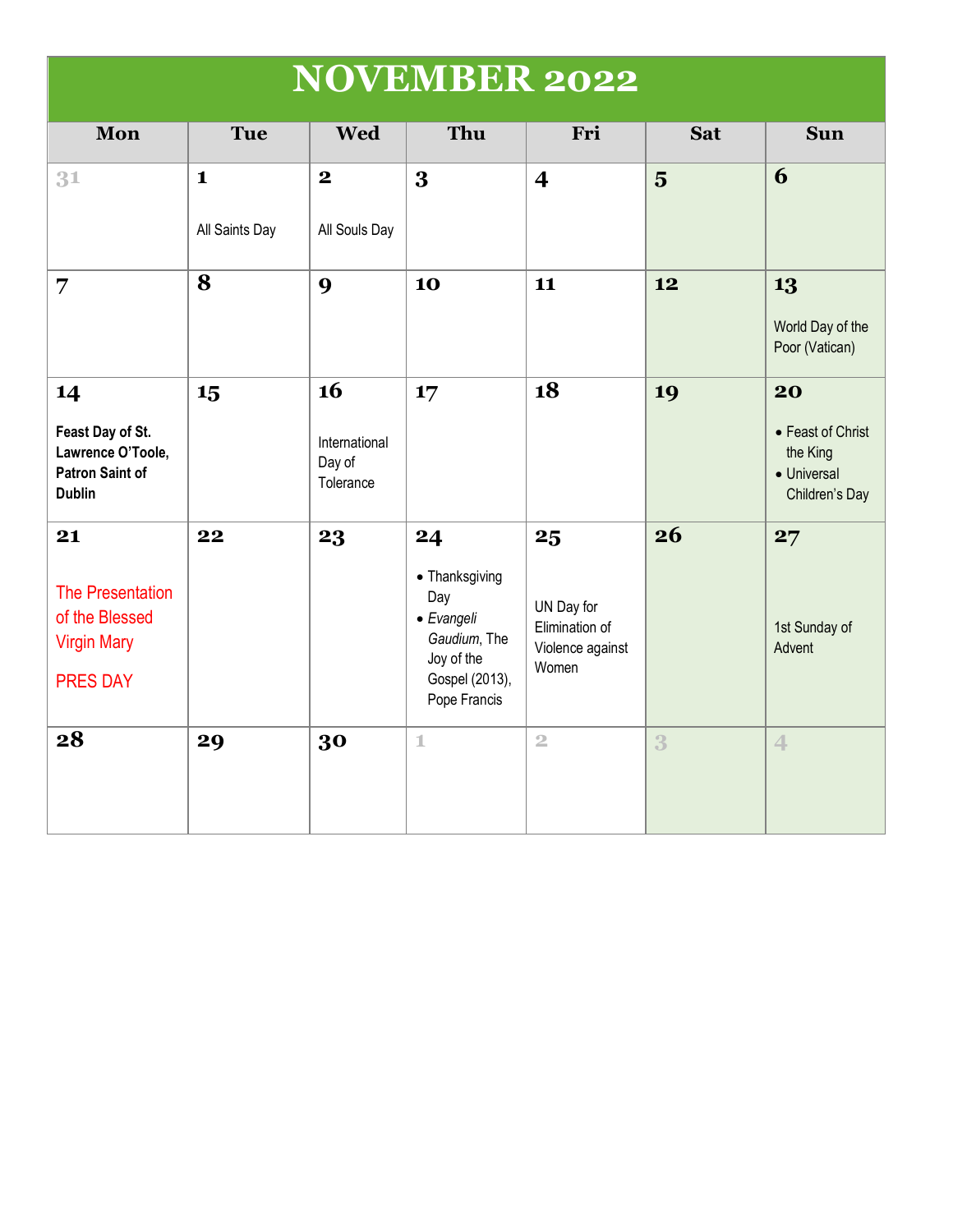| <b>NOVEMBER 2022</b> |
|----------------------|
|----------------------|

| Mon                                                                                    | <b>Tue</b>                     | <b>Wed</b>                                 | Thu                                                                                                       | Fri                                                             | <b>Sat</b>     | <b>Sun</b>                                                           |
|----------------------------------------------------------------------------------------|--------------------------------|--------------------------------------------|-----------------------------------------------------------------------------------------------------------|-----------------------------------------------------------------|----------------|----------------------------------------------------------------------|
| 31                                                                                     | $\mathbf{1}$<br>All Saints Day | $\mathbf{2}$<br>All Souls Day              | 3                                                                                                         | $\overline{\mathbf{4}}$                                         | $\overline{5}$ | 6                                                                    |
| 7                                                                                      | 8                              | 9                                          | 10                                                                                                        | 11                                                              | 12             | 13<br>World Day of the<br>Poor (Vatican)                             |
| 14<br>Feast Day of St.<br>Lawrence O'Toole,<br><b>Patron Saint of</b><br><b>Dublin</b> | 15                             | 16<br>International<br>Day of<br>Tolerance | 17                                                                                                        | 18                                                              | 19             | 20<br>• Feast of Christ<br>the King<br>• Universal<br>Children's Day |
| 21<br>The Presentation<br>of the Blessed<br><b>Virgin Mary</b><br><b>PRES DAY</b>      | 22                             | 23                                         | 24<br>• Thanksgiving<br>Day<br>• Evangeli<br>Gaudium, The<br>Joy of the<br>Gospel (2013),<br>Pope Francis | 25<br>UN Day for<br>Elimination of<br>Violence against<br>Women | 26             | 27<br>1st Sunday of<br>Advent                                        |
| 28                                                                                     | 29                             | 30                                         | $\mathbbm{1}$                                                                                             | $\overline{2}$                                                  | 3              | $\overline{4}$                                                       |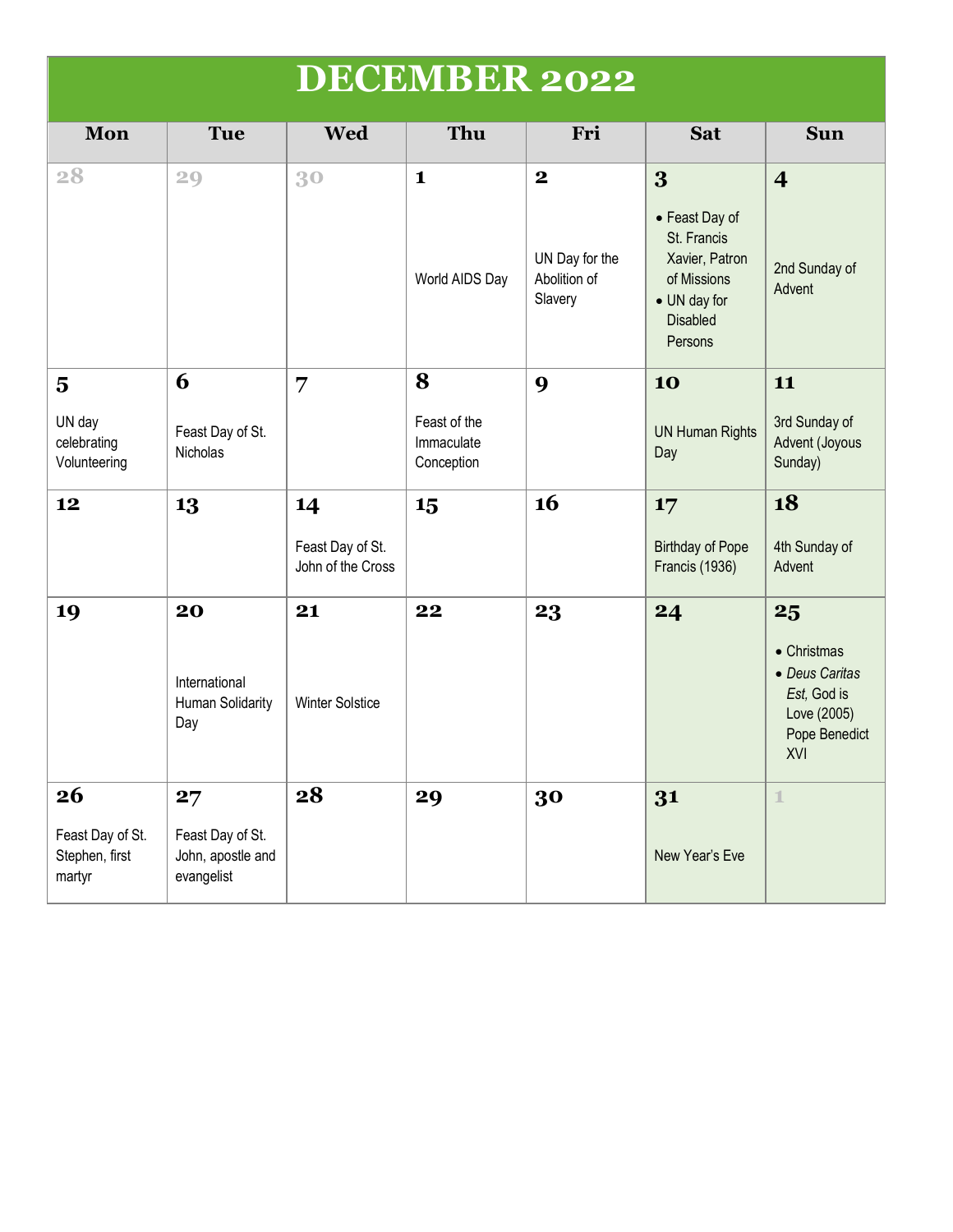|                                              |                                                     |                                       | <b>DECEMBER 2022</b>                     |                                           |                                                                                                              |                                                                                     |
|----------------------------------------------|-----------------------------------------------------|---------------------------------------|------------------------------------------|-------------------------------------------|--------------------------------------------------------------------------------------------------------------|-------------------------------------------------------------------------------------|
| Mon                                          | <b>Tue</b>                                          | <b>Wed</b>                            | Thu                                      | Fri                                       | <b>Sat</b>                                                                                                   | <b>Sun</b>                                                                          |
| 28                                           | 29                                                  | 30                                    | $\mathbf{1}$                             | $\mathbf 2$                               | 3                                                                                                            | $\overline{\mathbf{4}}$                                                             |
|                                              |                                                     |                                       | World AIDS Day                           | UN Day for the<br>Abolition of<br>Slavery | • Feast Day of<br>St. Francis<br>Xavier, Patron<br>of Missions<br>• UN day for<br><b>Disabled</b><br>Persons | 2nd Sunday of<br>Advent                                                             |
| $\overline{\mathbf{5}}$                      | 6                                                   | 7                                     | 8                                        | 9                                         | 10                                                                                                           | 11                                                                                  |
| UN day<br>celebrating<br>Volunteering        | Feast Day of St.<br>Nicholas                        |                                       | Feast of the<br>Immaculate<br>Conception |                                           | <b>UN Human Rights</b><br>Day                                                                                | 3rd Sunday of<br>Advent (Joyous<br>Sunday)                                          |
| 12                                           | 13                                                  | 14                                    | 15                                       | 16                                        | 17                                                                                                           | 18                                                                                  |
|                                              |                                                     | Feast Day of St.<br>John of the Cross |                                          |                                           | <b>Birthday of Pope</b><br>Francis (1936)                                                                    | 4th Sunday of<br>Advent                                                             |
| 19                                           | 20                                                  | 21                                    | 22                                       | 23                                        | 24                                                                                                           | 25                                                                                  |
|                                              | International<br>Human Solidarity<br>Day            | <b>Winter Solstice</b>                |                                          |                                           |                                                                                                              | • Christmas<br>• Deus Caritas<br>Est, God is<br>Love (2005)<br>Pope Benedict<br>XVI |
| 26                                           | 27                                                  | 28                                    | 29                                       | 30                                        | 31                                                                                                           | $\mathbf{1}$                                                                        |
| Feast Day of St.<br>Stephen, first<br>martyr | Feast Day of St.<br>John, apostle and<br>evangelist |                                       |                                          |                                           | New Year's Eve                                                                                               |                                                                                     |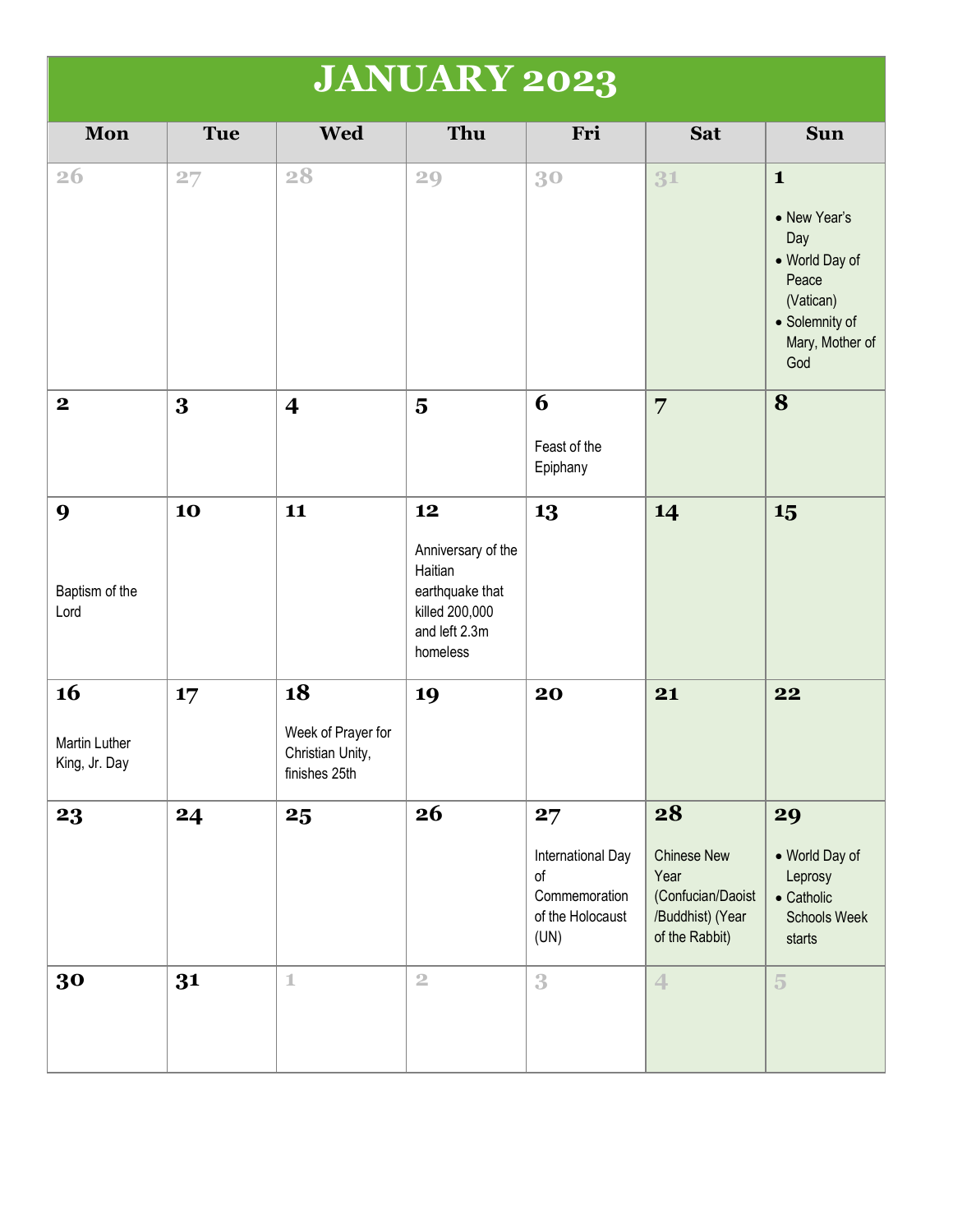|                                      | <b>JANUARY 2023</b> |                                                               |                                                                                                       |                                                                            |                                                                                             |                                                                                                                         |  |  |
|--------------------------------------|---------------------|---------------------------------------------------------------|-------------------------------------------------------------------------------------------------------|----------------------------------------------------------------------------|---------------------------------------------------------------------------------------------|-------------------------------------------------------------------------------------------------------------------------|--|--|
| Mon                                  | <b>Tue</b>          | <b>Wed</b>                                                    | Thu                                                                                                   | Fri                                                                        | <b>Sat</b>                                                                                  | <b>Sun</b>                                                                                                              |  |  |
| <b>26</b>                            | 27                  | 28                                                            | 29                                                                                                    | 30                                                                         | 31                                                                                          | $\mathbf{1}$<br>• New Year's<br>Day<br>• World Day of<br>Peace<br>(Vatican)<br>• Solemnity of<br>Mary, Mother of<br>God |  |  |
| $\boldsymbol{2}$                     | 3                   | $\overline{\mathbf{4}}$                                       | $\overline{\mathbf{5}}$                                                                               | 6<br>Feast of the<br>Epiphany                                              | $\overline{7}$                                                                              | 8                                                                                                                       |  |  |
| 9<br>Baptism of the<br>Lord          | 10                  | 11                                                            | 12<br>Anniversary of the<br>Haitian<br>earthquake that<br>killed 200,000<br>and left 2.3m<br>homeless | 13                                                                         | 14                                                                                          | 15                                                                                                                      |  |  |
| 16<br>Martin Luther<br>King, Jr. Day | 17                  | 18<br>Week of Prayer for<br>Christian Unity,<br>finishes 25th | 19                                                                                                    | 20                                                                         | 21                                                                                          | 22                                                                                                                      |  |  |
| 23                                   | 24                  | 25                                                            | 26                                                                                                    | 27<br>International Day<br>of<br>Commemoration<br>of the Holocaust<br>(UN) | 28<br><b>Chinese New</b><br>Year<br>(Confucian/Daoist<br>/Buddhist) (Year<br>of the Rabbit) | 29<br>• World Day of<br>Leprosy<br>$\bullet$ Catholic<br><b>Schools Week</b><br>starts                                  |  |  |
| 30                                   | 31                  | $\mathbbm{1}$                                                 | $\overline{2}$                                                                                        | 3                                                                          | $\overline{4}$                                                                              | $\overline{5}$                                                                                                          |  |  |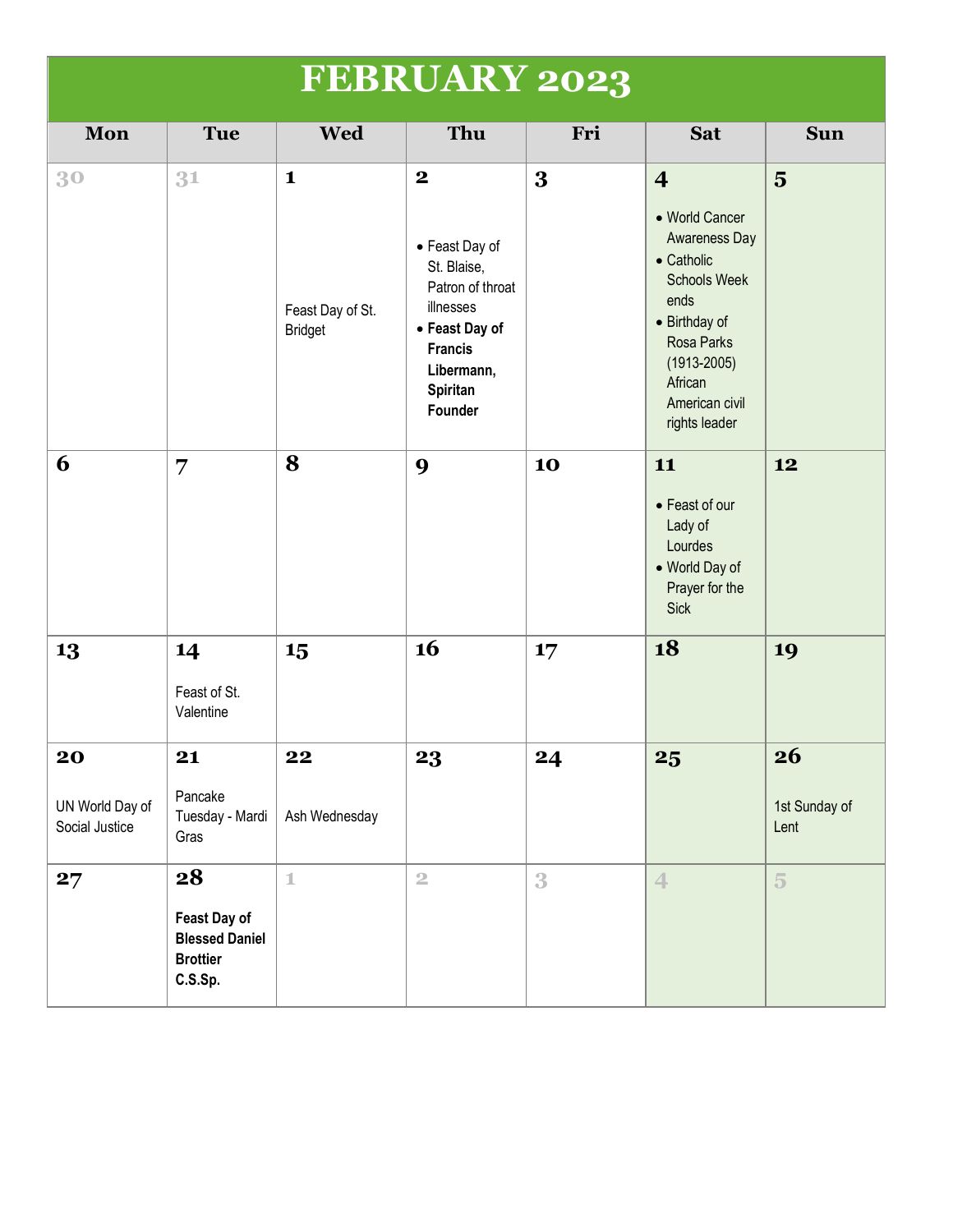|                                         | <b>FEBRUARY 2023</b>                                                      |                                                    |                                                                                                                                                                |     |                                                                                                                                                                                                        |                             |  |  |
|-----------------------------------------|---------------------------------------------------------------------------|----------------------------------------------------|----------------------------------------------------------------------------------------------------------------------------------------------------------------|-----|--------------------------------------------------------------------------------------------------------------------------------------------------------------------------------------------------------|-----------------------------|--|--|
| Mon                                     | Tue                                                                       | <b>Wed</b>                                         | Thu                                                                                                                                                            | Fri | <b>Sat</b>                                                                                                                                                                                             | <b>Sun</b>                  |  |  |
| 30                                      | 31                                                                        | $\mathbf{1}$<br>Feast Day of St.<br><b>Bridget</b> | $\mathbf{2}$<br>• Feast Day of<br>St. Blaise,<br>Patron of throat<br>illnesses<br>• Feast Day of<br><b>Francis</b><br>Libermann,<br><b>Spiritan</b><br>Founder | 3   | $\overline{4}$<br>• World Cancer<br>Awareness Day<br>$\bullet$ Catholic<br><b>Schools Week</b><br>ends<br>• Birthday of<br>Rosa Parks<br>$(1913 - 2005)$<br>African<br>American civil<br>rights leader | $\overline{5}$              |  |  |
| 6                                       | 7                                                                         | 8                                                  | 9                                                                                                                                                              | 10  | 11<br>• Feast of our<br>Lady of<br>Lourdes<br>• World Day of<br>Prayer for the<br><b>Sick</b>                                                                                                          | 12                          |  |  |
| 13                                      | 14<br>Feast of St.<br>Valentine                                           | 15                                                 | 16                                                                                                                                                             | 17  | 18                                                                                                                                                                                                     | 19                          |  |  |
| 20<br>UN World Day of<br>Social Justice | 21<br>Pancake<br>Tuesday - Mardi<br>Gras                                  | 22<br>Ash Wednesday                                | 23                                                                                                                                                             | 24  | 25                                                                                                                                                                                                     | 26<br>1st Sunday of<br>Lent |  |  |
| 27                                      | 28<br>Feast Day of<br><b>Blessed Daniel</b><br><b>Brottier</b><br>C.S.Sp. | $\mathbbm{1}$                                      | $\overline{2}$                                                                                                                                                 | 3   | $\overline{4}$                                                                                                                                                                                         | $\overline{5}$              |  |  |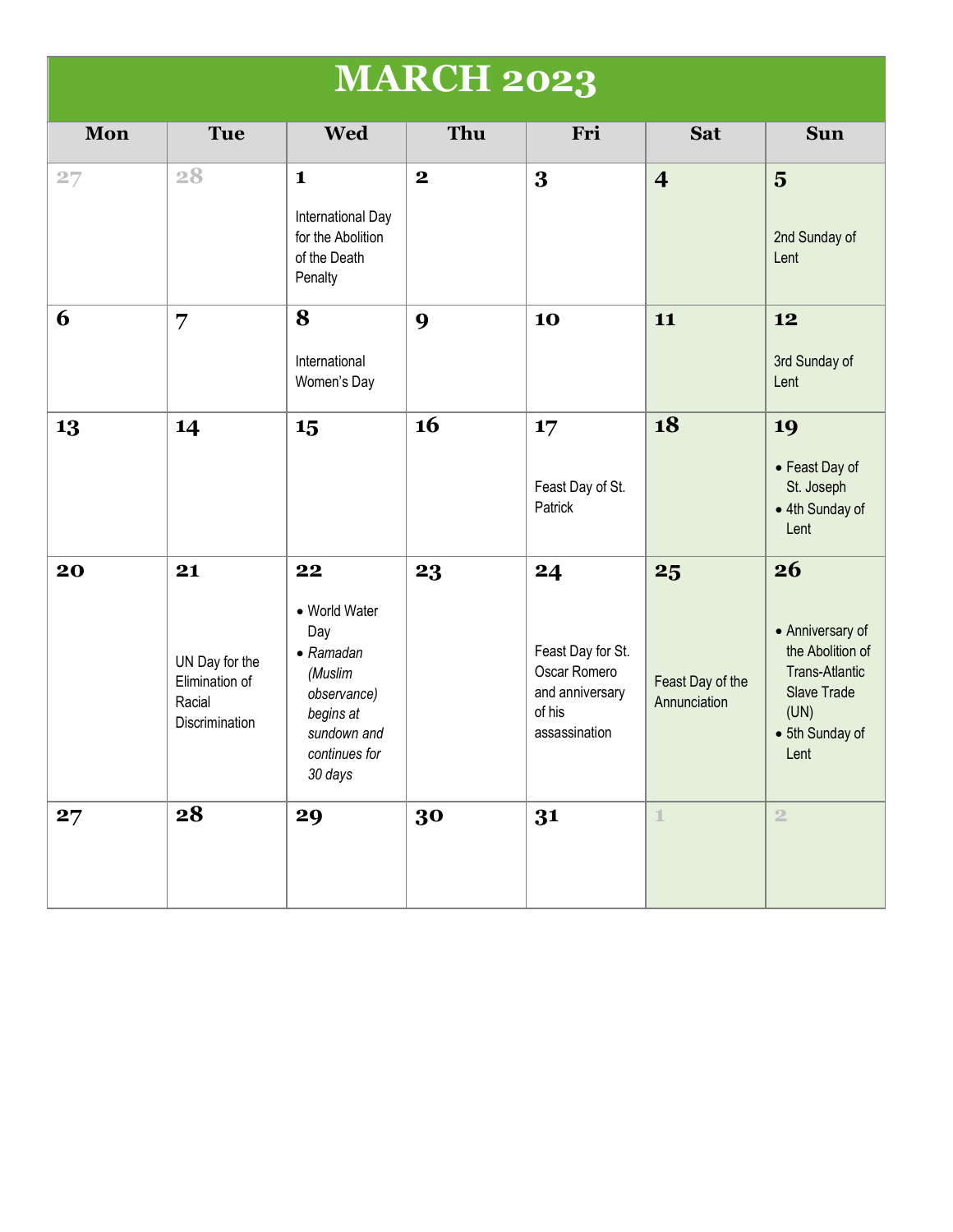|     |                                                                    |                                                                                                                                   | <b>MARCH 2023</b> |                                                                                       |                                        |                                                                                                                              |
|-----|--------------------------------------------------------------------|-----------------------------------------------------------------------------------------------------------------------------------|-------------------|---------------------------------------------------------------------------------------|----------------------------------------|------------------------------------------------------------------------------------------------------------------------------|
| Mon | <b>Tue</b>                                                         | <b>Wed</b>                                                                                                                        | Thu               | Fri                                                                                   | <b>Sat</b>                             | <b>Sun</b>                                                                                                                   |
| 27  | 28                                                                 | $\mathbf{1}$<br>International Day<br>for the Abolition<br>of the Death<br>Penalty                                                 | $\mathbf{2}$      | 3                                                                                     | $\overline{\mathbf{4}}$                | $\overline{\mathbf{5}}$<br>2nd Sunday of<br>Lent                                                                             |
| 6   | 7                                                                  | 8<br>International<br>Women's Day                                                                                                 | $\boldsymbol{9}$  | 10                                                                                    | 11                                     | 12<br>3rd Sunday of<br>Lent                                                                                                  |
| 13  | 14                                                                 | 15                                                                                                                                | 16                | 17<br>Feast Day of St.<br>Patrick                                                     | 18                                     | 19<br>• Feast Day of<br>St. Joseph<br>• 4th Sunday of<br>Lent                                                                |
| 20  | 21<br>UN Day for the<br>Elimination of<br>Racial<br>Discrimination | 22<br>• World Water<br>Day<br>$\bullet$ Ramadan<br>(Muslim<br>observance)<br>begins at<br>sundown and<br>continues for<br>30 days | 23                | 24<br>Feast Day for St.<br>Oscar Romero<br>and anniversary<br>of his<br>assassination | 25<br>Feast Day of the<br>Annunciation | 26<br>• Anniversary of<br>the Abolition of<br><b>Trans-Atlantic</b><br><b>Slave Trade</b><br>(UN)<br>• 5th Sunday of<br>Lent |
| 27  | 28                                                                 | 29                                                                                                                                | 30                | 31                                                                                    | $\mathbb{1}$                           | $\overline{2}$                                                                                                               |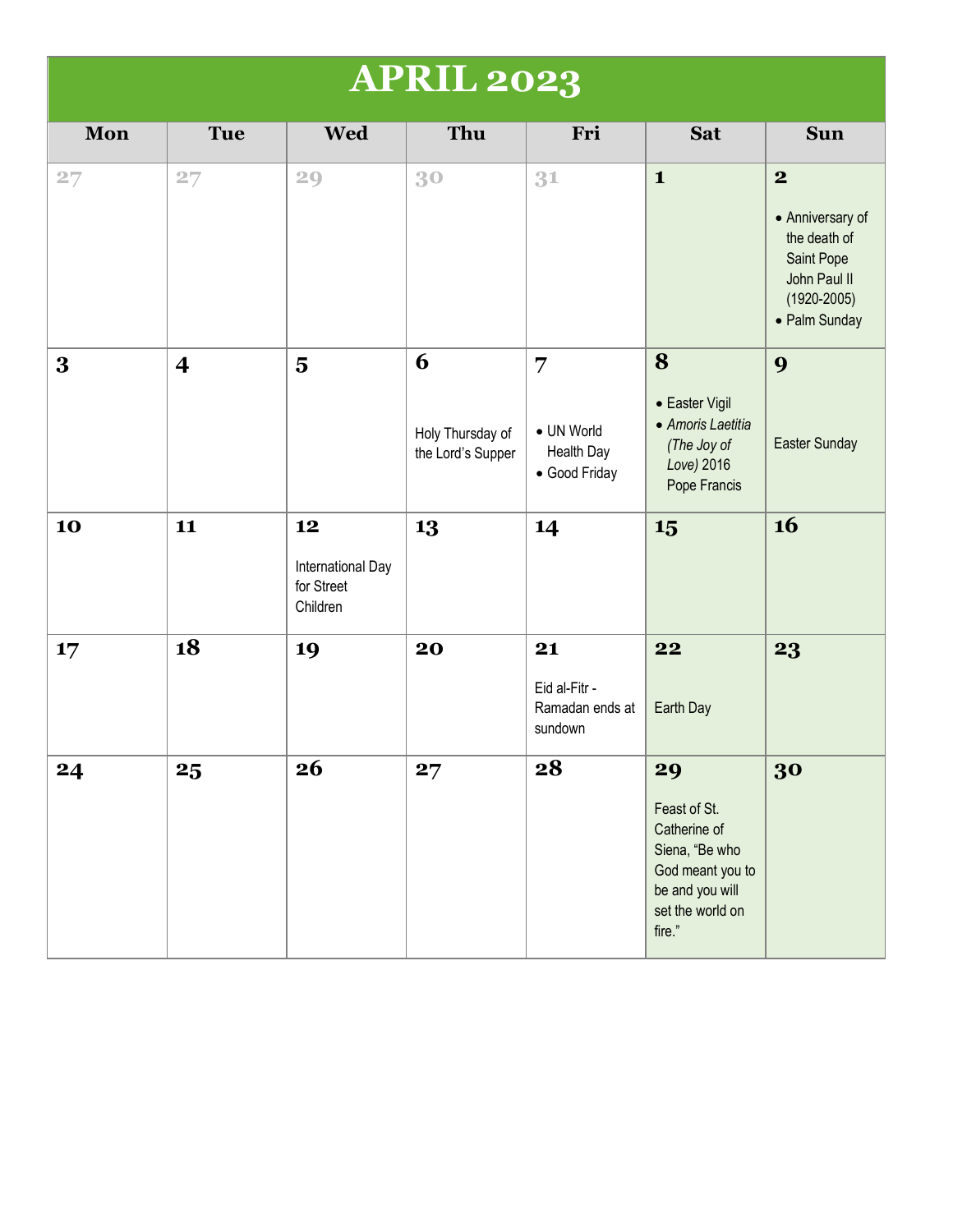| <b>APRIL 2023</b> |                |                                                   |                                            |                                                                    |                                                                                                                           |                                                                                                                        |  |
|-------------------|----------------|---------------------------------------------------|--------------------------------------------|--------------------------------------------------------------------|---------------------------------------------------------------------------------------------------------------------------|------------------------------------------------------------------------------------------------------------------------|--|
| Mon               | <b>Tue</b>     | <b>Wed</b>                                        | Thu                                        | Fri                                                                | <b>Sat</b>                                                                                                                | <b>Sun</b>                                                                                                             |  |
| 27                | 27             | 29                                                | 30                                         | 31                                                                 | $\mathbf{1}$                                                                                                              | $\boldsymbol{2}$<br>• Anniversary of<br>the death of<br>Saint Pope<br>John Paul II<br>$(1920 - 2005)$<br>• Palm Sunday |  |
| 3                 | $\overline{4}$ | $\overline{\mathbf{5}}$                           | 6<br>Holy Thursday of<br>the Lord's Supper | $\overline{7}$<br>• UN World<br><b>Health Day</b><br>• Good Friday | 8<br>• Easter Vigil<br>• Amoris Laetitia<br>(The Joy of<br>Love) 2016<br>Pope Francis                                     | 9<br>Easter Sunday                                                                                                     |  |
| 10                | 11             | 12<br>International Day<br>for Street<br>Children | 13                                         | 14                                                                 | 15                                                                                                                        | 16                                                                                                                     |  |
| 17                | 18             | 19                                                | 20                                         | 21<br>Eid al-Fitr -<br>Ramadan ends at<br>sundown                  | 22<br>Earth Day                                                                                                           | 23                                                                                                                     |  |
| 24                | 25             | 26                                                | 27                                         | 28                                                                 | 29<br>Feast of St.<br>Catherine of<br>Siena, "Be who<br>God meant you to<br>be and you will<br>set the world on<br>fire." | 30                                                                                                                     |  |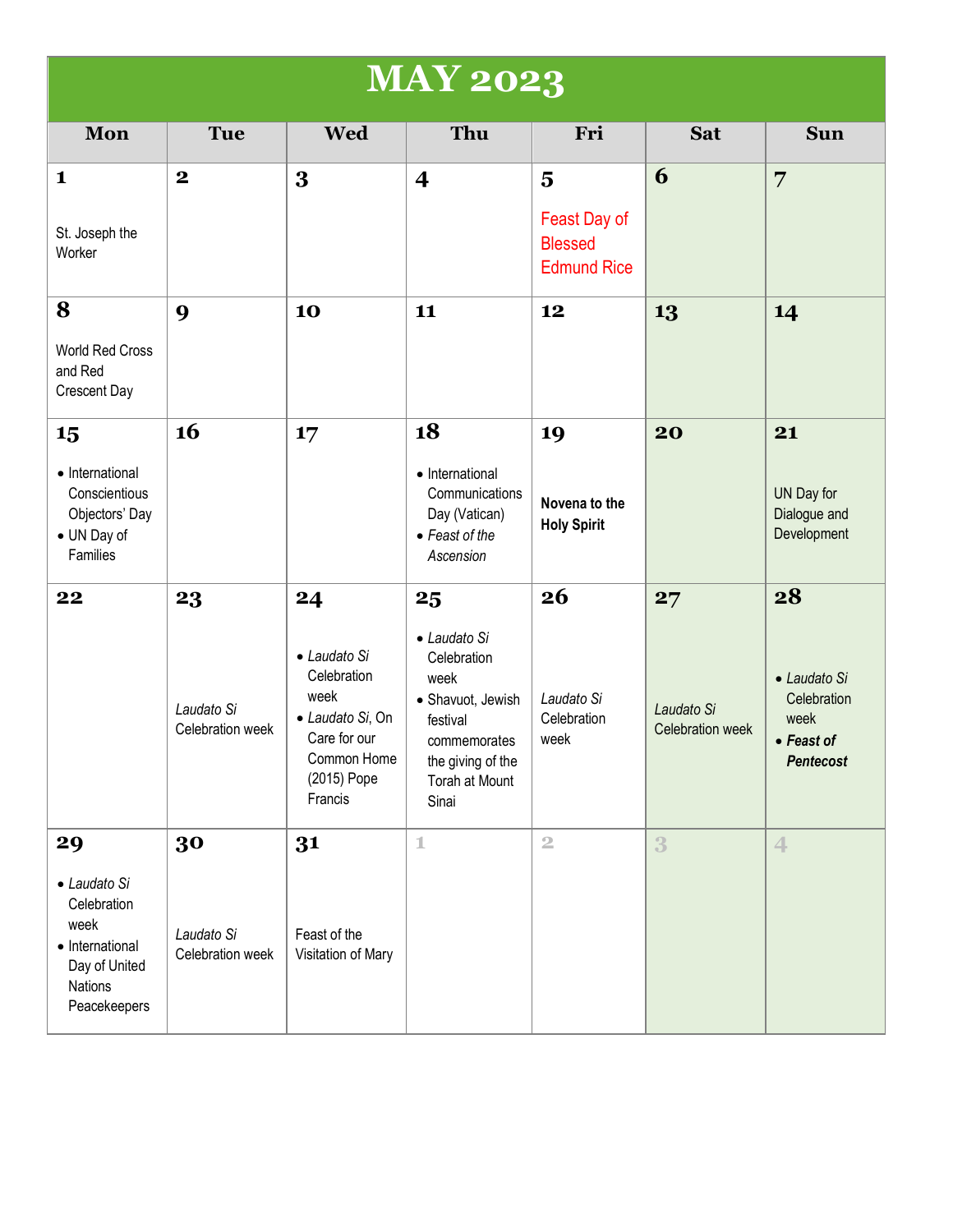|                                                                                                          | <b>MAY 2023</b>                      |                                                                                                                        |                                                                                                                                            |                                                                                 |                                      |                                                                                     |  |
|----------------------------------------------------------------------------------------------------------|--------------------------------------|------------------------------------------------------------------------------------------------------------------------|--------------------------------------------------------------------------------------------------------------------------------------------|---------------------------------------------------------------------------------|--------------------------------------|-------------------------------------------------------------------------------------|--|
| Mon                                                                                                      | <b>Tue</b>                           | <b>Wed</b>                                                                                                             | Thu                                                                                                                                        | Fri                                                                             | <b>Sat</b>                           | <b>Sun</b>                                                                          |  |
| $\mathbf{1}$<br>St. Joseph the<br>Worker                                                                 | $\mathbf 2$                          | 3                                                                                                                      | $\overline{\mathbf{4}}$                                                                                                                    | $\overline{\mathbf{5}}$<br>Feast Day of<br><b>Blessed</b><br><b>Edmund Rice</b> | 6                                    | $\overline{7}$                                                                      |  |
| 8<br>World Red Cross<br>and Red<br>Crescent Day                                                          | 9                                    | 10                                                                                                                     | 11                                                                                                                                         | 12                                                                              | 13                                   | 14                                                                                  |  |
| 15<br>• International<br>Conscientious<br>Objectors' Day<br>• UN Day of<br>Families                      | 16                                   | 17                                                                                                                     | 18<br>• International<br>Communications<br>Day (Vatican)<br>• Feast of the<br>Ascension                                                    | 19<br>Novena to the<br><b>Holy Spirit</b>                                       | 20                                   | 21<br>UN Day for<br>Dialogue and<br>Development                                     |  |
| 22                                                                                                       | 23<br>Laudato Si<br>Celebration week | 24<br>• Laudato Si<br>Celebration<br>week<br>· Laudato Si, On<br>Care for our<br>Common Home<br>(2015) Pope<br>Francis | 25<br>• Laudato Si<br>Celebration<br>week<br>· Shavuot, Jewish<br>festival<br>commemorates<br>the giving of the<br>Torah at Mount<br>Sinai | 26<br>Laudato Si<br>Celebration<br>week                                         | 27<br>Laudato Si<br>Celebration week | 28<br>• Laudato Si<br>Celebration<br>week<br>$\bullet$ Feast of<br><b>Pentecost</b> |  |
| 29<br>• Laudato Si<br>Celebration<br>week<br>• International<br>Day of United<br>Nations<br>Peacekeepers | 30<br>Laudato Si<br>Celebration week | 31<br>Feast of the<br>Visitation of Mary                                                                               | $\mathbbm{1}$                                                                                                                              | $\overline{2}$                                                                  | 3                                    | $\leftarrow$                                                                        |  |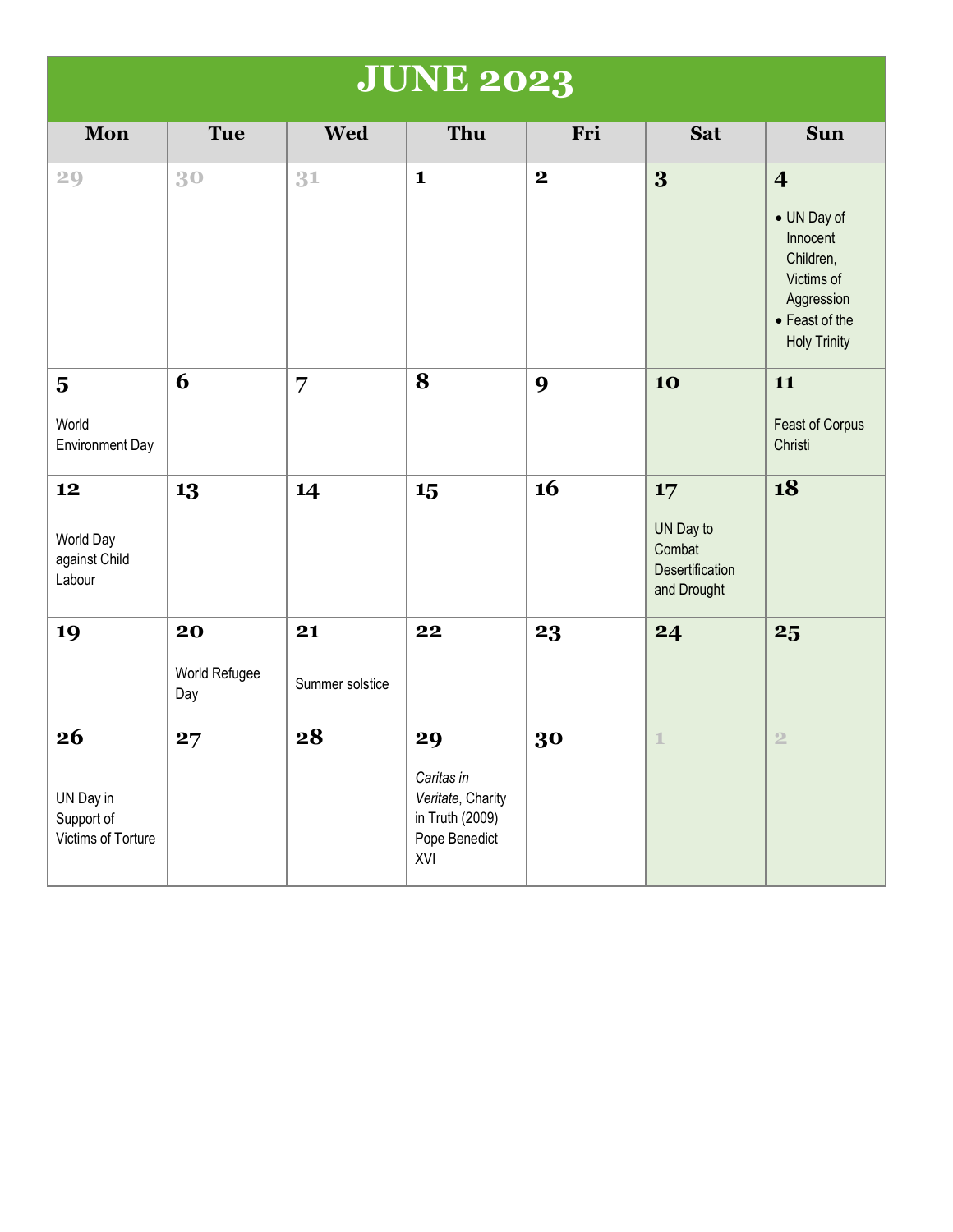| <b>JUNE 2023</b>                                           |                            |                       |                                                                                  |             |                                                             |                                                                                                                                      |  |
|------------------------------------------------------------|----------------------------|-----------------------|----------------------------------------------------------------------------------|-------------|-------------------------------------------------------------|--------------------------------------------------------------------------------------------------------------------------------------|--|
| Mon                                                        | <b>Tue</b>                 | <b>Wed</b>            | Thu                                                                              | Fri         | <b>Sat</b>                                                  | <b>Sun</b>                                                                                                                           |  |
| 29                                                         | 30                         | 31                    | $\mathbf{1}$                                                                     | $\mathbf 2$ | 3                                                           | $\overline{\mathbf{4}}$<br>• UN Day of<br>Innocent<br>Children,<br>Victims of<br>Aggression<br>• Feast of the<br><b>Holy Trinity</b> |  |
| $\overline{\mathbf{5}}$<br>World<br><b>Environment Day</b> | 6                          | 7                     | 8                                                                                | 9           | 10                                                          | 11<br>Feast of Corpus<br>Christi                                                                                                     |  |
| 12<br>World Day<br>against Child<br>Labour                 | 13                         | 14                    | 15                                                                               | 16          | 17<br>UN Day to<br>Combat<br>Desertification<br>and Drought | 18                                                                                                                                   |  |
| 19                                                         | 20<br>World Refugee<br>Day | 21<br>Summer solstice | 22                                                                               | 23          | 24                                                          | 25                                                                                                                                   |  |
| 26<br>UN Day in<br>Support of<br>Victims of Torture        | 27                         | 28                    | 29<br>Caritas in<br>Veritate, Charity<br>in Truth (2009)<br>Pope Benedict<br>XVI | 30          | $\mathbb{1}$                                                | $\overline{2}$                                                                                                                       |  |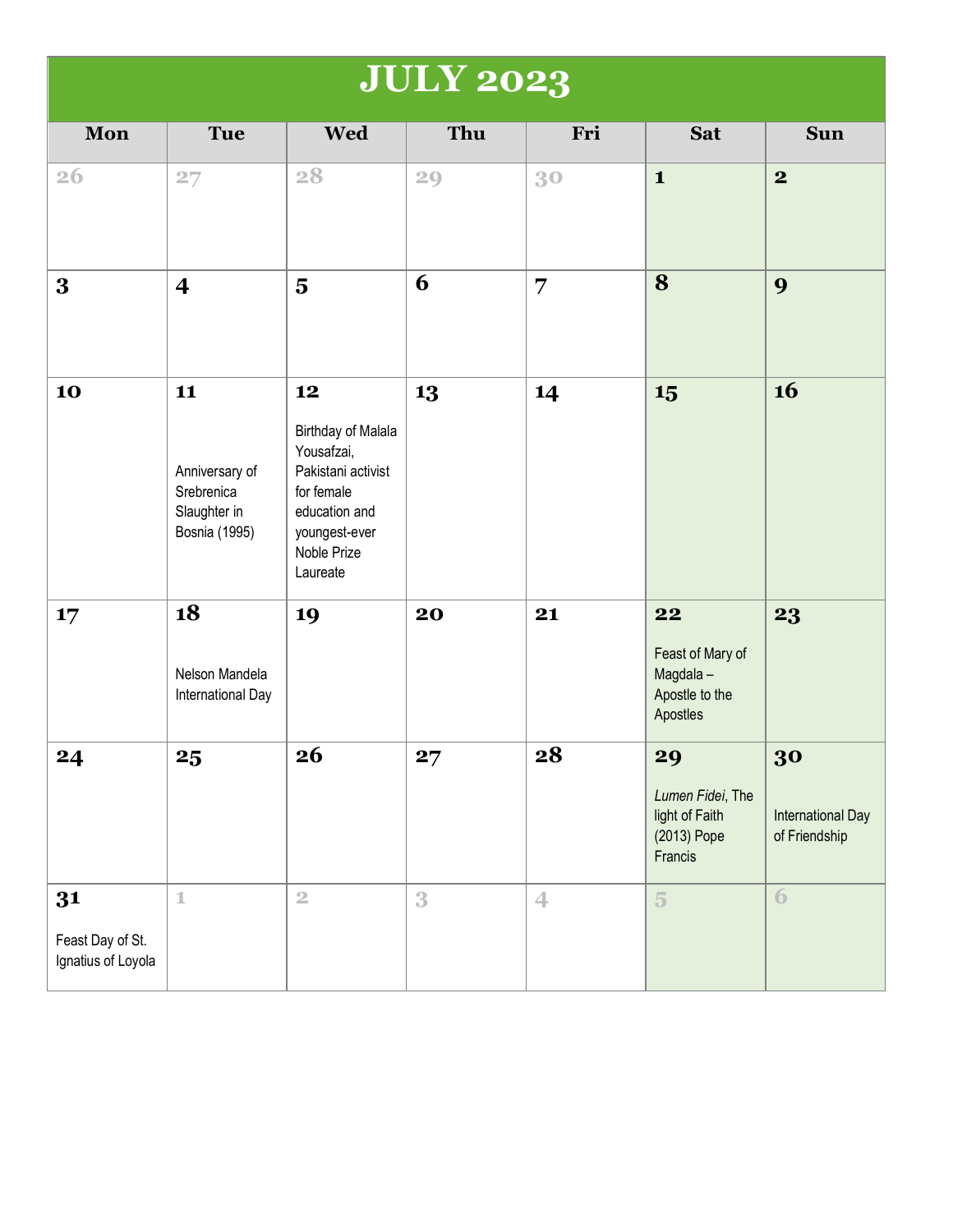## **JULY 2023**

| Mon                                          | <b>Tue</b>                                                                 | <b>Wed</b>                                                                                                                                     | Thu | Fri            | <b>Sat</b>                                                         | <b>Sun</b>                                      |
|----------------------------------------------|----------------------------------------------------------------------------|------------------------------------------------------------------------------------------------------------------------------------------------|-----|----------------|--------------------------------------------------------------------|-------------------------------------------------|
| 26                                           | 27                                                                         | 28                                                                                                                                             | 29  | 30             | $\mathbf{1}$                                                       | $\mathbf{2}$                                    |
| $\bf{3}$                                     | $\overline{\mathbf{4}}$                                                    | $\overline{\mathbf{5}}$                                                                                                                        | 6   | $\overline{7}$ | 8                                                                  | 9                                               |
| 10                                           | 11<br>Anniversary of<br>Srebrenica<br>Slaughter in<br><b>Bosnia</b> (1995) | 12<br><b>Birthday of Malala</b><br>Yousafzai,<br>Pakistani activist<br>for female<br>education and<br>youngest-ever<br>Noble Prize<br>Laureate | 13  | 14             | 15                                                                 | 16                                              |
| 17                                           | 18<br>Nelson Mandela<br>International Day                                  | 19                                                                                                                                             | 20  | 21             | 22<br>Feast of Mary of<br>Magdala-<br>Apostle to the<br>Apostles   | 23                                              |
| 24                                           | 25                                                                         | 26                                                                                                                                             | 27  | 28             | 29<br>Lumen Fidei, The<br>light of Faith<br>(2013) Pope<br>Francis | 30<br><b>International Day</b><br>of Friendship |
| 31<br>Feast Day of St.<br>Ignatius of Loyola | $\mathbbm{1}$                                                              | $\mathbf 2$                                                                                                                                    | 3   | $\overline{4}$ | $\overline{5}$                                                     | $\overline{6}$                                  |